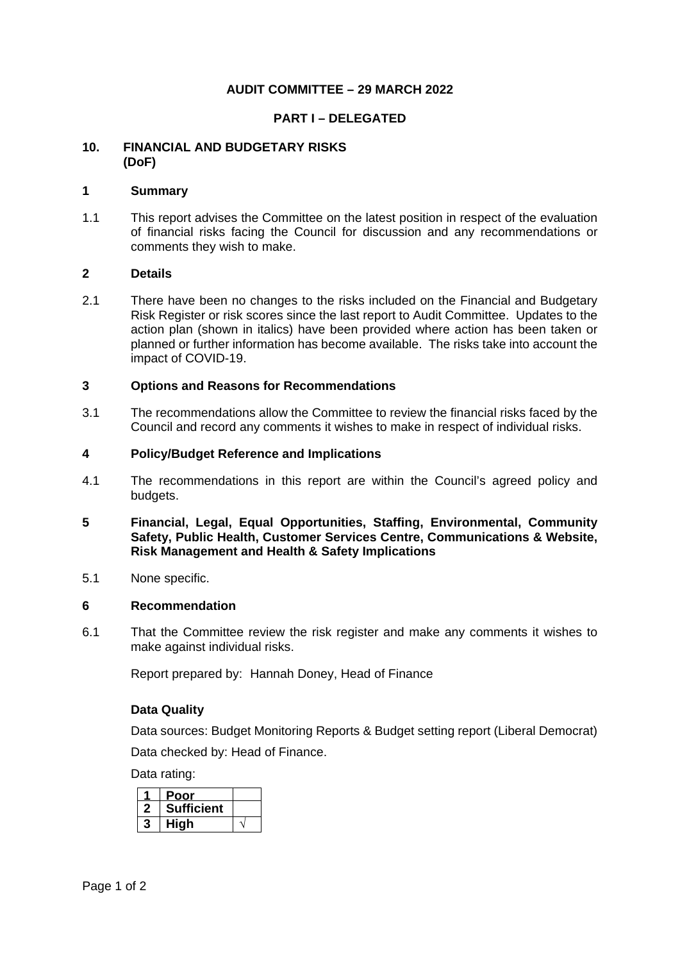## **AUDIT COMMITTEE – 29 MARCH 2022**

## **PART I – DELEGATED**

## **10. FINANCIAL AND BUDGETARY RISKS (DoF)**

#### **1 Summary**

1.1 This report advises the Committee on the latest position in respect of the evaluation of financial risks facing the Council for discussion and any recommendations or comments they wish to make.

#### **2 Details**

2.1 There have been no changes to the risks included on the Financial and Budgetary Risk Register or risk scores since the last report to Audit Committee. Updates to the action plan (shown in italics) have been provided where action has been taken or planned or further information has become available. The risks take into account the impact of COVID-19.

#### **3 Options and Reasons for Recommendations**

3.1 The recommendations allow the Committee to review the financial risks faced by the Council and record any comments it wishes to make in respect of individual risks.

#### **4 Policy/Budget Reference and Implications**

4.1 The recommendations in this report are within the Council's agreed policy and budgets.

## **5 Financial, Legal, Equal Opportunities, Staffing, Environmental, Community Safety, Public Health, Customer Services Centre, Communications & Website, Risk Management and Health & Safety Implications**

5.1 None specific.

#### **6 Recommendation**

6.1 That the Committee review the risk register and make any comments it wishes to make against individual risks.

Report prepared by: Hannah Doney, Head of Finance

#### **Data Quality**

Data sources: Budget Monitoring Reports & Budget setting report (Liberal Democrat) Data checked by: Head of Finance.

Data rating:

| Poor              |  |
|-------------------|--|
| <b>Sufficient</b> |  |
| Hiah              |  |